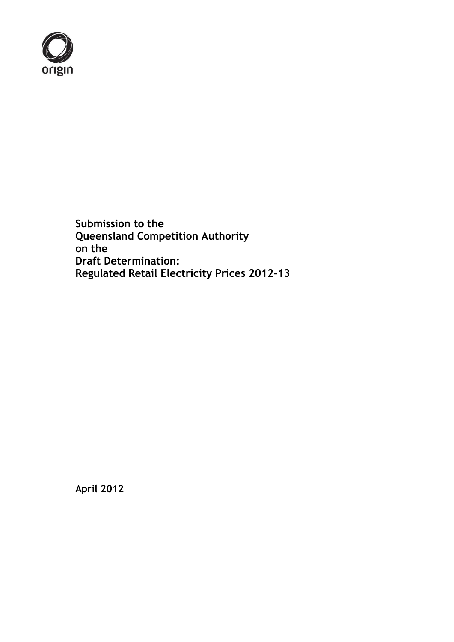

**Submission to the Queensland Competition Authority on the Draft Determination: Regulated Retail Electricity Prices 2012-13**

**April 2012**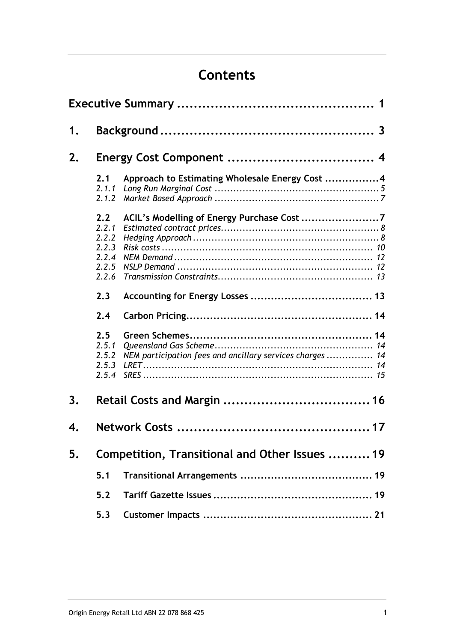# **Contents**

| 1. |                                                           |                                                           |  |  |  |
|----|-----------------------------------------------------------|-----------------------------------------------------------|--|--|--|
| 2. |                                                           |                                                           |  |  |  |
|    | 2.1<br>2.1.1<br>2.1.2                                     | Approach to Estimating Wholesale Energy Cost 4            |  |  |  |
|    | 2.2<br>2.2.1<br>2.2.2<br>2.2.3<br>2.2.4<br>2.2.5<br>2.2.6 | ACIL's Modelling of Energy Purchase Cost 7                |  |  |  |
|    | 2.3<br>2.4                                                |                                                           |  |  |  |
|    | 2.5<br>2.5.1<br>2.5.2<br>2.5.3<br>2.5.4                   | NEM participation fees and ancillary services charges  14 |  |  |  |
| 3. |                                                           |                                                           |  |  |  |
| 4. |                                                           |                                                           |  |  |  |
| 5. | Competition, Transitional and Other Issues  19            |                                                           |  |  |  |
|    | 5.1                                                       |                                                           |  |  |  |
|    | 5.2                                                       |                                                           |  |  |  |
|    | 5.3                                                       |                                                           |  |  |  |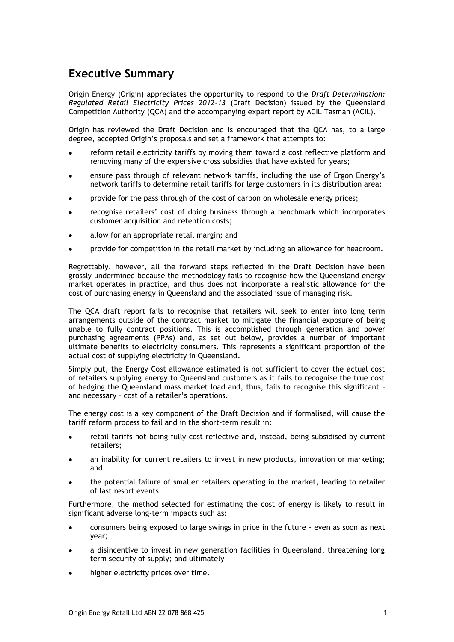## <span id="page-2-0"></span>**Executive Summary**

Origin Energy (Origin) appreciates the opportunity to respond to the *Draft Determination: Regulated Retail Electricity Prices 2012-13* (Draft Decision) issued by the Queensland Competition Authority (QCA) and the accompanying expert report by ACIL Tasman (ACIL).

Origin has reviewed the Draft Decision and is encouraged that the QCA has, to a large degree, accepted Origin's proposals and set a framework that attempts to:

- reform retail electricity tariffs by moving them toward a cost reflective platform and removing many of the expensive cross subsidies that have existed for years;
- ensure pass through of relevant network tariffs, including the use of Ergon Energy's network tariffs to determine retail tariffs for large customers in its distribution area;
- provide for the pass through of the cost of carbon on wholesale energy prices;
- recognise retailers' cost of doing business through a benchmark which incorporates customer acquisition and retention costs;
- allow for an appropriate retail margin; and
- provide for competition in the retail market by including an allowance for headroom.

Regrettably, however, all the forward steps reflected in the Draft Decision have been grossly undermined because the methodology fails to recognise how the Queensland energy market operates in practice, and thus does not incorporate a realistic allowance for the cost of purchasing energy in Queensland and the associated issue of managing risk.

The QCA draft report fails to recognise that retailers will seek to enter into long term arrangements outside of the contract market to mitigate the financial exposure of being unable to fully contract positions. This is accomplished through generation and power purchasing agreements (PPAs) and, as set out below, provides a number of important ultimate benefits to electricity consumers. This represents a significant proportion of the actual cost of supplying electricity in Queensland.

Simply put, the Energy Cost allowance estimated is not sufficient to cover the actual cost of retailers supplying energy to Queensland customers as it fails to recognise the true cost of hedging the Queensland mass market load and, thus, fails to recognise this significant – and necessary – cost of a retailer's operations.

The energy cost is a key component of the Draft Decision and if formalised, will cause the tariff reform process to fail and in the short-term result in:

- retail tariffs not being fully cost reflective and, instead, being subsidised by current retailers;
- an inability for current retailers to invest in new products, innovation or marketing; and
- the potential failure of smaller retailers operating in the market, leading to retailer of last resort events.

Furthermore, the method selected for estimating the cost of energy is likely to result in significant adverse long-term impacts such as:

- consumers being exposed to large swings in price in the future even as soon as next year;
- a disincentive to invest in new generation facilities in Queensland, threatening long term security of supply; and ultimately
- higher electricity prices over time.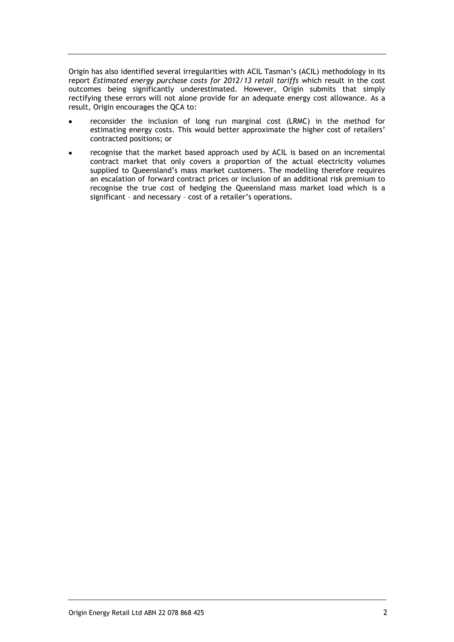Origin has also identified several irregularities with ACIL Tasman's (ACIL) methodology in its report *Estimated energy purchase costs for 2012/13 retail tariffs* which result in the cost outcomes being significantly underestimated. However, Origin submits that simply rectifying these errors will not alone provide for an adequate energy cost allowance. As a result, Origin encourages the QCA to:

- reconsider the inclusion of long run marginal cost (LRMC) in the method for estimating energy costs. This would better approximate the higher cost of retailers' contracted positions; or
- recognise that the market based approach used by ACIL is based on an incremental contract market that only covers a proportion of the actual electricity volumes supplied to Queensland's mass market customers. The modelling therefore requires an escalation of forward contract prices or inclusion of an additional risk premium to recognise the true cost of hedging the Queensland mass market load which is a significant – and necessary – cost of a retailer's operations.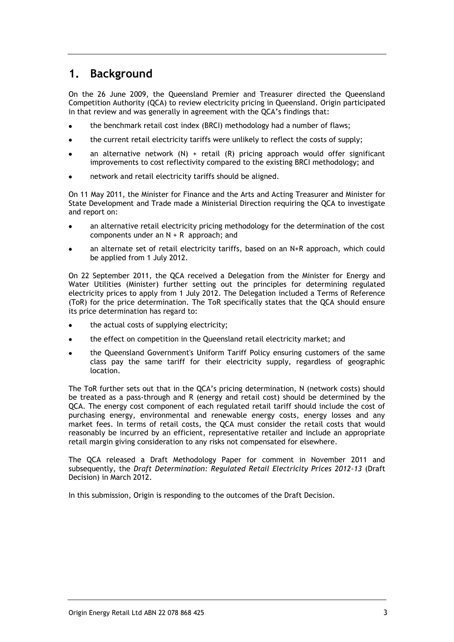## <span id="page-4-0"></span>**1. Background**

On the 26 June 2009, the Queensland Premier and Treasurer directed the Queensland Competition Authority (QCA) to review electricity pricing in Queensland. Origin participated in that review and was generally in agreement with the QCA's findings that:

- the benchmark retail cost index (BRCI) methodology had a number of flaws;
- the current retail electricity tariffs were unlikely to reflect the costs of supply;
- an alternative network  $(N)$  + retail  $(R)$  pricing approach would offer significant improvements to cost reflectivity compared to the existing BRCI methodology; and
- network and retail electricity tariffs should be aligned.

On 11 May 2011, the Minister for Finance and the Arts and Acting Treasurer and Minister for State Development and Trade made a Ministerial Direction requiring the QCA to investigate and report on:

- an alternative retail electricity pricing methodology for the determination of the cost components under an N + R approach; and
- an alternate set of retail electricity tariffs, based on an N+R approach, which could be applied from 1 July 2012.

On 22 September 2011, the QCA received a Delegation from the Minister for Energy and Water Utilities (Minister) further setting out the principles for determining regulated electricity prices to apply from 1 July 2012. The Delegation included a Terms of Reference (ToR) for the price determination. The ToR specifically states that the QCA should ensure its price determination has regard to:

- the actual costs of supplying electricity;
- the effect on competition in the Queensland retail electricity market; and
- the Queensland Government's Uniform Tariff Policy ensuring customers of the same class pay the same tariff for their electricity supply, regardless of geographic location.

The ToR further sets out that in the QCA's pricing determination, N (network costs) should be treated as a pass-through and R (energy and retail cost) should be determined by the QCA. The energy cost component of each regulated retail tariff should include the cost of purchasing energy, environmental and renewable energy costs, energy losses and any market fees. In terms of retail costs, the QCA must consider the retail costs that would reasonably be incurred by an efficient, representative retailer and include an appropriate retail margin giving consideration to any risks not compensated for elsewhere.

The QCA released a Draft Methodology Paper for comment in November 2011 and subsequently, the *Draft Determination: Regulated Retail Electricity Prices 2012-13* (Draft Decision) in March 2012.

In this submission, Origin is responding to the outcomes of the Draft Decision.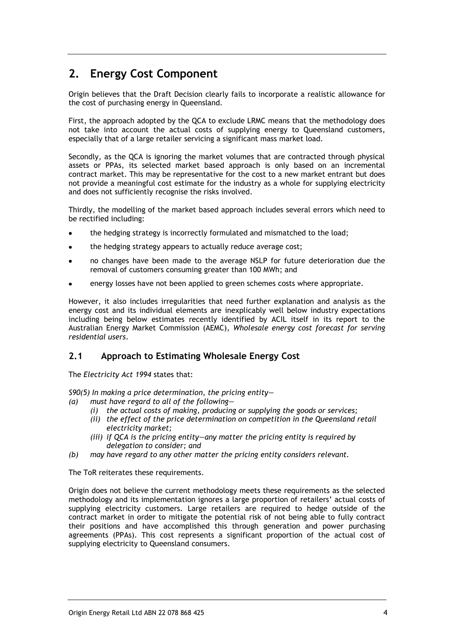## <span id="page-5-0"></span>**2. Energy Cost Component**

Origin believes that the Draft Decision clearly fails to incorporate a realistic allowance for the cost of purchasing energy in Queensland.

First, the approach adopted by the QCA to exclude LRMC means that the methodology does not take into account the actual costs of supplying energy to Queensland customers, especially that of a large retailer servicing a significant mass market load.

Secondly, as the QCA is ignoring the market volumes that are contracted through physical assets or PPAs, its selected market based approach is only based on an incremental contract market. This may be representative for the cost to a new market entrant but does not provide a meaningful cost estimate for the industry as a whole for supplying electricity and does not sufficiently recognise the risks involved.

Thirdly, the modelling of the market based approach includes several errors which need to be rectified including:

- the hedging strategy is incorrectly formulated and mismatched to the load;
- the hedging strategy appears to actually reduce average cost;
- no changes have been made to the average NSLP for future deterioration due the removal of customers consuming greater than 100 MWh; and
- energy losses have not been applied to green schemes costs where appropriate.

However, it also includes irregularities that need further explanation and analysis as the energy cost and its individual elements are inexplicably well below industry expectations including being below estimates recently identified by ACIL itself in its report to the Australian Energy Market Commission (AEMC), *Wholesale energy cost forecast for serving residential users*.

## <span id="page-5-1"></span>**2.1 Approach to Estimating Wholesale Energy Cost**

The *Electricity Act 1994* states that:

*S90(5) In making a price determination, the pricing entity—*

- *(a) must have regard to all of the following—*
	- *(i) the actual costs of making, producing or supplying the goods or services;*
	- *(ii) the effect of the price determination on competition in the Queensland retail electricity market;*
	- *(iii) if QCA is the pricing entity—any matter the pricing entity is required by delegation to consider; and*
- *(b) may have regard to any other matter the pricing entity considers relevant.*

The ToR reiterates these requirements.

Origin does not believe the current methodology meets these requirements as the selected methodology and its implementation ignores a large proportion of retailers' actual costs of supplying electricity customers. Large retailers are required to hedge outside of the contract market in order to mitigate the potential risk of not being able to fully contract their positions and have accomplished this through generation and power purchasing agreements (PPAs). This cost represents a significant proportion of the actual cost of supplying electricity to Queensland consumers.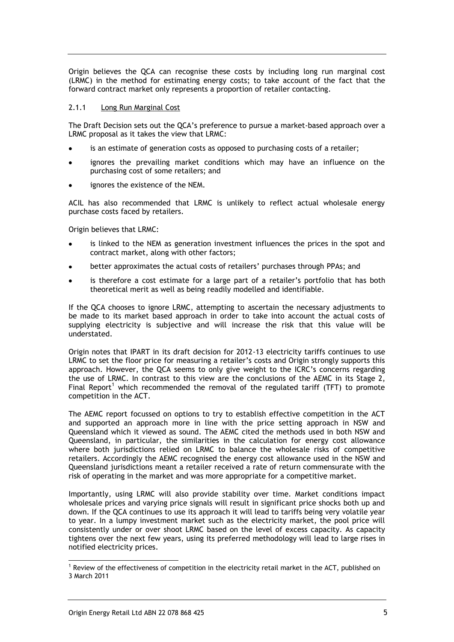Origin believes the QCA can recognise these costs by including long run marginal cost (LRMC) in the method for estimating energy costs; to take account of the fact that the forward contract market only represents a proportion of retailer contacting.

#### <span id="page-6-0"></span>2.1.1 Long Run Marginal Cost

The Draft Decision sets out the QCA's preference to pursue a market-based approach over a LRMC proposal as it takes the view that LRMC:

- is an estimate of generation costs as opposed to purchasing costs of a retailer;
- ignores the prevailing market conditions which may have an influence on the purchasing cost of some retailers; and
- ignores the existence of the NEM.

ACIL has also recommended that LRMC is unlikely to reflect actual wholesale energy purchase costs faced by retailers.

Origin believes that LRMC:

- is linked to the NEM as generation investment influences the prices in the spot and contract market, along with other factors;
- better approximates the actual costs of retailers' purchases through PPAs; and
- is therefore a cost estimate for a large part of a retailer's portfolio that has both theoretical merit as well as being readily modelled and identifiable.

If the QCA chooses to ignore LRMC, attempting to ascertain the necessary adjustments to be made to its market based approach in order to take into account the actual costs of supplying electricity is subjective and will increase the risk that this value will be understated.

Origin notes that IPART in its draft decision for 2012-13 electricity tariffs continues to use LRMC to set the floor price for measuring a retailer's costs and Origin strongly supports this approach. However, the QCA seems to only give weight to the ICRC's concerns regarding the use of LRMC. In contrast to this view are the conclusions of the AEMC in its Stage 2, Final Report<sup>1</sup> which recommended the removal of the regulated tariff (TFT) to promote competition in the ACT.

The AEMC report focussed on options to try to establish effective competition in the ACT and supported an approach more in line with the price setting approach in NSW and Queensland which it viewed as sound. The AEMC cited the methods used in both NSW and Queensland, in particular, the similarities in the calculation for energy cost allowance where both jurisdictions relied on LRMC to balance the wholesale risks of competitive retailers. Accordingly the AEMC recognised the energy cost allowance used in the NSW and Queensland jurisdictions meant a retailer received a rate of return commensurate with the risk of operating in the market and was more appropriate for a competitive market.

Importantly, using LRMC will also provide stability over time. Market conditions impact wholesale prices and varying price signals will result in significant price shocks both up and down. If the QCA continues to use its approach it will lead to tariffs being very volatile year to year. In a lumpy investment market such as the electricity market, the pool price will consistently under or over shoot LRMC based on the level of excess capacity. As capacity tightens over the next few years, using its preferred methodology will lead to large rises in notified electricity prices.

-

<sup>&</sup>lt;sup>1</sup> Review of the effectiveness of competition in the electricity retail market in the ACT, published on 3 March 2011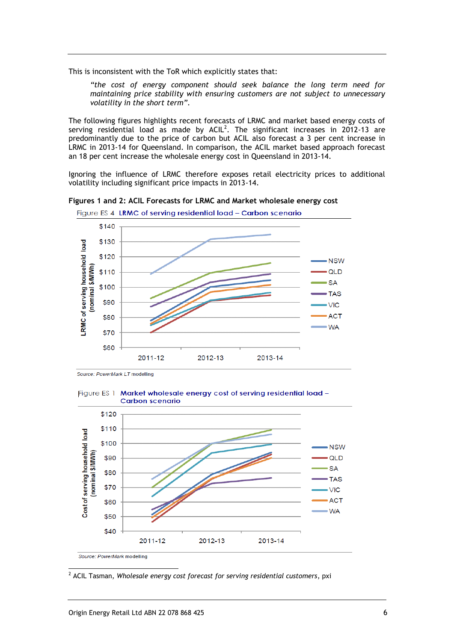This is inconsistent with the ToR which explicitly states that:

*"the cost of energy component should seek balance the long term need for maintaining price stability with ensuring customers are not subject to unnecessary volatility in the short term".*

The following figures highlights recent forecasts of LRMC and market based energy costs of serving residential load as made by  $ACIL<sup>2</sup>$ . The significant increases in 2012-13 are predominantly due to the price of carbon but ACIL also forecast a 3 per cent increase in LRMC in 2013-14 for Queensland. In comparison, the ACIL market based approach forecast an 18 per cent increase the wholesale energy cost in Queensland in 2013-14.

Ignoring the influence of LRMC therefore exposes retail electricity prices to additional volatility including significant price impacts in 2013-14.



**Figures 1 and 2: ACIL Forecasts for LRMC and Market wholesale energy cost**

Source: PowerMark LT modelling





<sup>2</sup> ACIL Tasman, *Wholesale energy cost forecast for serving residential customers*, pxi

-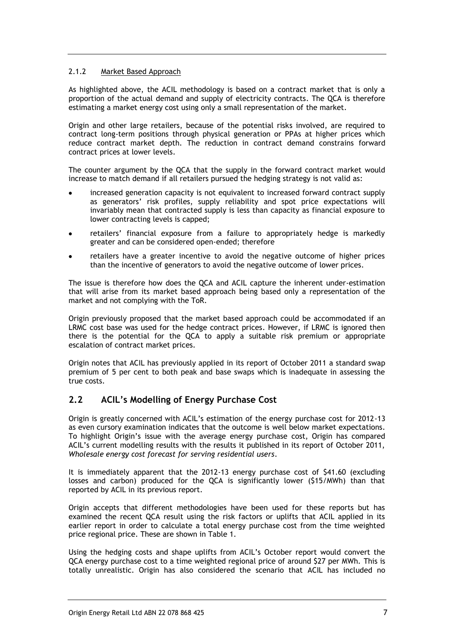### <span id="page-8-0"></span>2.1.2 Market Based Approach

As highlighted above, the ACIL methodology is based on a contract market that is only a proportion of the actual demand and supply of electricity contracts. The QCA is therefore estimating a market energy cost using only a small representation of the market.

Origin and other large retailers, because of the potential risks involved, are required to contract long-term positions through physical generation or PPAs at higher prices which reduce contract market depth. The reduction in contract demand constrains forward contract prices at lower levels.

The counter argument by the QCA that the supply in the forward contract market would increase to match demand if all retailers pursued the hedging strategy is not valid as:

- increased generation capacity is not equivalent to increased forward contract supply as generators' risk profiles, supply reliability and spot price expectations will invariably mean that contracted supply is less than capacity as financial exposure to lower contracting levels is capped;
- retailers' financial exposure from a failure to appropriately hedge is markedly greater and can be considered open-ended; therefore
- retailers have a greater incentive to avoid the negative outcome of higher prices than the incentive of generators to avoid the negative outcome of lower prices.

The issue is therefore how does the QCA and ACIL capture the inherent under-estimation that will arise from its market based approach being based only a representation of the market and not complying with the ToR.

Origin previously proposed that the market based approach could be accommodated if an LRMC cost base was used for the hedge contract prices. However, if LRMC is ignored then there is the potential for the QCA to apply a suitable risk premium or appropriate escalation of contract market prices.

Origin notes that ACIL has previously applied in its report of October 2011 a standard swap premium of 5 per cent to both peak and base swaps which is inadequate in assessing the true costs.

### <span id="page-8-1"></span>**2.2 ACIL's Modelling of Energy Purchase Cost**

Origin is greatly concerned with ACIL's estimation of the energy purchase cost for 2012-13 as even cursory examination indicates that the outcome is well below market expectations. To highlight Origin's issue with the average energy purchase cost, Origin has compared ACIL's current modelling results with the results it published in its report of October 2011, *Wholesale energy cost forecast for serving residential users*.

It is immediately apparent that the 2012-13 energy purchase cost of \$41.60 (excluding losses and carbon) produced for the QCA is significantly lower (\$15/MWh) than that reported by ACIL in its previous report.

Origin accepts that different methodologies have been used for these reports but has examined the recent QCA result using the risk factors or uplifts that ACIL applied in its earlier report in order to calculate a total energy purchase cost from the time weighted price regional price. These are shown in Table 1.

Using the hedging costs and shape uplifts from ACIL's October report would convert the QCA energy purchase cost to a time weighted regional price of around \$27 per MWh. This is totally unrealistic. Origin has also considered the scenario that ACIL has included no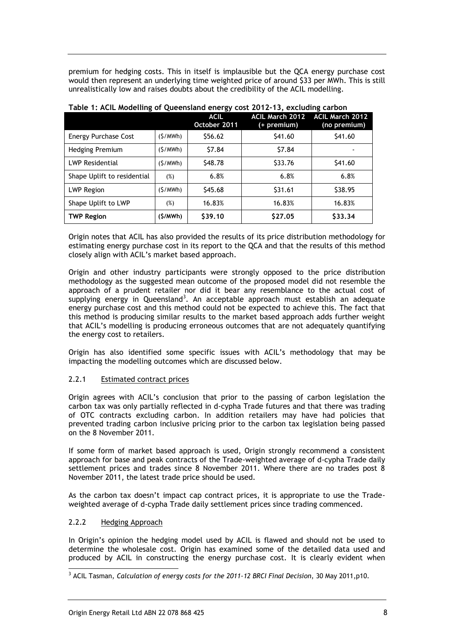premium for hedging costs. This in itself is implausible but the QCA energy purchase cost would then represent an underlying time weighted price of around \$33 per MWh. This is still unrealistically low and raises doubts about the credibility of the ACIL modelling.

|                             |          | <b>ACIL</b><br>October 2011 | <b>ACIL March 2012</b><br>(+ premium) | <b>ACIL March 2012</b><br>(no premium) |
|-----------------------------|----------|-----------------------------|---------------------------------------|----------------------------------------|
| <b>Energy Purchase Cost</b> | (S/MWh)  | \$56.62                     | \$41.60                               | \$41.60                                |
| <b>Hedging Premium</b>      | (S/MWh)  | \$7.84                      | \$7.84                                |                                        |
| <b>LWP Residential</b>      | (S/MWh)  | \$48.78                     | \$33.76                               | \$41.60                                |
| Shape Uplift to residential | $(\%)$   | 6.8%                        | 6.8%                                  | 6.8%                                   |
| <b>LWP Region</b>           | (S/MWh)  | \$45.68                     | \$31.61                               | \$38.95                                |
| Shape Uplift to LWP         | $(\%)$   | 16.83%                      | 16.83%                                | 16.83%                                 |
| <b>TWP Region</b>           | (\$/MWh) | \$39.10                     | \$27.05                               | \$33.34                                |

### **Table 1: ACIL Modelling of Queensland energy cost 2012-13, excluding carbon**

Origin notes that ACIL has also provided the results of its price distribution methodology for estimating energy purchase cost in its report to the QCA and that the results of this method closely align with ACIL's market based approach.

Origin and other industry participants were strongly opposed to the price distribution methodology as the suggested mean outcome of the proposed model did not resemble the approach of a prudent retailer nor did it bear any resemblance to the actual cost of supplying energy in Queensland<sup>3</sup>. An acceptable approach must establish an adequate energy purchase cost and this method could not be expected to achieve this. The fact that this method is producing similar results to the market based approach adds further weight that ACIL's modelling is producing erroneous outcomes that are not adequately quantifying the energy cost to retailers.

Origin has also identified some specific issues with ACIL's methodology that may be impacting the modelling outcomes which are discussed below.

### <span id="page-9-0"></span>2.2.1 Estimated contract prices

Origin agrees with ACIL's conclusion that prior to the passing of carbon legislation the carbon tax was only partially reflected in d-cypha Trade futures and that there was trading of OTC contracts excluding carbon. In addition retailers may have had policies that prevented trading carbon inclusive pricing prior to the carbon tax legislation being passed on the 8 November 2011.

If some form of market based approach is used, Origin strongly recommend a consistent approach for base and peak contracts of the Trade-weighted average of d-cypha Trade daily settlement prices and trades since 8 November 2011. Where there are no trades post 8 November 2011, the latest trade price should be used.

As the carbon tax doesn't impact cap contract prices, it is appropriate to use the Tradeweighted average of d-cypha Trade daily settlement prices since trading commenced.

#### <span id="page-9-1"></span>2.2.2 Hedging Approach

-

In Origin's opinion the hedging model used by ACIL is flawed and should not be used to determine the wholesale cost. Origin has examined some of the detailed data used and produced by ACIL in constructing the energy purchase cost. It is clearly evident when

<sup>3</sup> ACIL Tasman, *Calculation of energy costs for the 2011-12 BRCI Final Decision*, 30 May 2011,p10.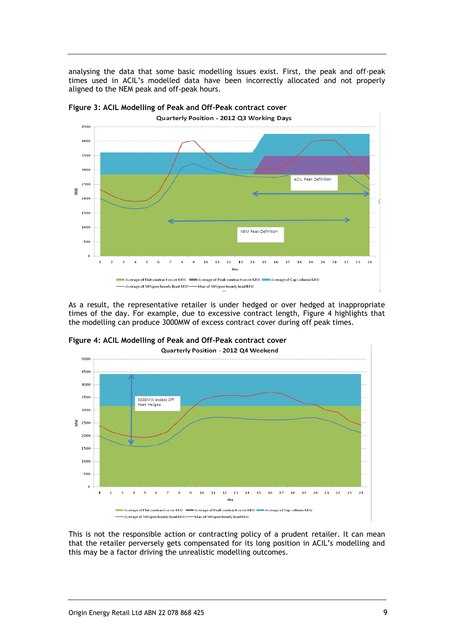analysing the data that some basic modelling issues exist. First, the peak and off-peak times used in ACIL's modelled data have been incorrectly allocated and not properly aligned to the NEM peak and off-peak hours.



**Figure 3: ACIL Modelling of Peak and Off-Peak contract cover**

As a result, the representative retailer is under hedged or over hedged at inappropriate times of the day. For example, due to excessive contract length, Figure 4 highlights that the modelling can produce 3000MW of excess contract cover during off peak times.



**Figure 4: ACIL Modelling of Peak and Off-Peak contract cover**

This is not the responsible action or contracting policy of a prudent retailer. It can mean that the retailer perversely gets compensated for its long position in ACIL's modelling and this may be a factor driving the unrealistic modelling outcomes.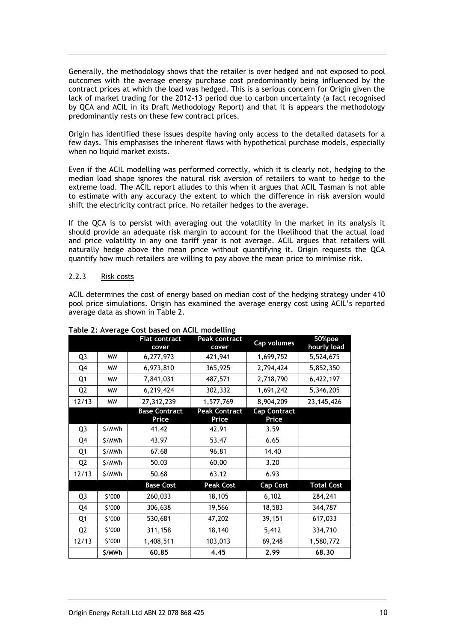Generally, the methodology shows that the retailer is over hedged and not exposed to pool outcomes with the average energy purchase cost predominantly being influenced by the contract prices at which the load was hedged. This is a serious concern for Origin given the lack of market trading for the 2012-13 period due to carbon uncertainty (a fact recognised by QCA and ACIL in its Draft Methodology Report) and that it is appears the methodology predominantly rests on these few contract prices.

Origin has identified these issues despite having only access to the detailed datasets for a few days. This emphasises the inherent flaws with hypothetical purchase models, especially when no liquid market exists.

Even if the ACIL modelling was performed correctly, which it is clearly not, hedging to the median load shape ignores the natural risk aversion of retailers to want to hedge to the extreme load. The ACIL report alludes to this when it argues that ACIL Tasman is not able to estimate with any accuracy the extent to which the difference in risk aversion would shift the electricity contract price. No retailer hedges to the average.

If the QCA is to persist with averaging out the volatility in the market in its analysis it should provide an adequate risk margin to account for the likelihood that the actual load and price volatility in any one tariff year is not average. ACIL argues that retailers will naturally hedge above the mean price without quantifying it. Origin requests the QCA quantify how much retailers are willing to pay above the mean price to minimise risk.

#### <span id="page-11-0"></span>2.2.3 Risk costs

ACIL determines the cost of energy based on median cost of the hedging strategy under 410 pool price simulations. Origin has examined the average energy cost using ACIL's reported average data as shown in Table 2.

|                |           | <b>Flat contract</b><br>cover | Peak contract<br>cover        | Cap volumes                  | 50%poe<br>hourly load |
|----------------|-----------|-------------------------------|-------------------------------|------------------------------|-----------------------|
| Q <sub>3</sub> | <b>MW</b> | 6,277,973                     | 421,941                       | 1,699,752                    | 5,524,675             |
| Q4             | <b>MW</b> | 6,973,810                     | 365,925                       | 2,794,424                    | 5,852,350             |
| Q1             | <b>MW</b> | 7,841,031                     | 487,571                       | 2,718,790                    | 6,422,197             |
| Q <sub>2</sub> | <b>MW</b> | 6,219,424                     | 302,332                       | 1,691,242                    | 5,346,205             |
| 12/13          | <b>MW</b> | 27,312,239                    | 1,577,769                     | 8,904,209                    | 23, 145, 426          |
|                |           | <b>Base Contract</b><br>Price | <b>Peak Contract</b><br>Price | <b>Cap Contract</b><br>Price |                       |
| Q3             | \$/MWh    | 41.42                         | 42.91                         | 3.59                         |                       |
| Q4             | \$/MWh    | 43.97                         | 53.47                         | 6.65                         |                       |
| Q1             | \$/MWh    | 67.68                         | 96.81                         | 14.40                        |                       |
| Q <sub>2</sub> | \$/MWh    | 50.03                         | 60.00                         | 3.20                         |                       |
| 12/13          | \$/MWh    | 50.68                         | 63.12                         | 6.93                         |                       |
|                |           | <b>Base Cost</b>              | <b>Peak Cost</b>              | <b>Cap Cost</b>              | <b>Total Cost</b>     |
| Q3             | \$'000    | 260,033                       | 18,105                        | 6,102                        | 284,241               |
| Q4             | \$'000    | 306,638                       | 19,566                        | 18,583                       | 344,787               |
| Q1             | \$'000    | 530,681                       | 47,202                        | 39,151                       | 617,033               |
| Q <sub>2</sub> | \$'000    | 311,158                       | 18,140                        | 5,412                        | 334,710               |
| 12/13          | \$'000    | 1,408,511                     | 103,013                       | 69,248                       | 1,580,772             |
|                | \$/MWh    | 60.85                         | 4.45                          | 2.99                         | 68,30                 |

#### **Table 2: Average Cost based on ACIL modelling**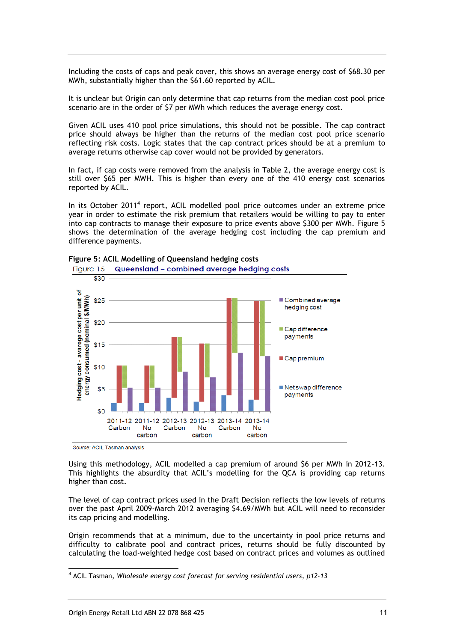Including the costs of caps and peak cover, this shows an average energy cost of \$68.30 per MWh, substantially higher than the \$61.60 reported by ACIL.

It is unclear but Origin can only determine that cap returns from the median cost pool price scenario are in the order of \$7 per MWh which reduces the average energy cost.

Given ACIL uses 410 pool price simulations, this should not be possible. The cap contract price should always be higher than the returns of the median cost pool price scenario reflecting risk costs. Logic states that the cap contract prices should be at a premium to average returns otherwise cap cover would not be provided by generators.

In fact, if cap costs were removed from the analysis in Table 2, the average energy cost is still over \$65 per MWH. This is higher than every one of the 410 energy cost scenarios reported by ACIL.

In its October 2011<sup>4</sup> report, ACIL modelled pool price outcomes under an extreme price year in order to estimate the risk premium that retailers would be willing to pay to enter into cap contracts to manage their exposure to price events above \$300 per MWh. Figure 5 shows the determination of the average hedging cost including the cap premium and difference payments.



**Figure 5: ACIL Modelling of Queensland hedging costs** Queensland - combined average hedging costs Figure 15

Source: ACIL Tasman analysis

-

Using this methodology, ACIL modelled a cap premium of around \$6 per MWh in 2012-13. This highlights the absurdity that ACIL's modelling for the QCA is providing cap returns higher than cost.

The level of cap contract prices used in the Draft Decision reflects the low levels of returns over the past April 2009-March 2012 averaging \$4.69/MWh but ACIL will need to reconsider its cap pricing and modelling.

Origin recommends that at a minimum, due to the uncertainty in pool price returns and difficulty to calibrate pool and contract prices, returns should be fully discounted by calculating the load-weighted hedge cost based on contract prices and volumes as outlined

<sup>4</sup> ACIL Tasman, *Wholesale energy cost forecast for serving residential users, p12-13*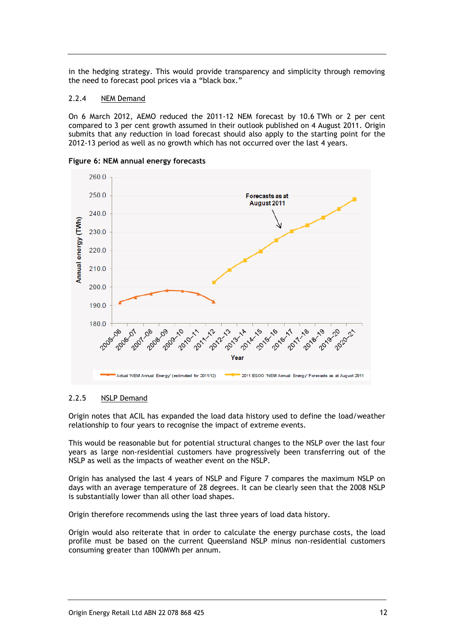in the hedging strategy. This would provide transparency and simplicity through removing the need to forecast pool prices via a "black box."

#### <span id="page-13-0"></span>2.2.4 NEM Demand

On 6 March 2012, AEMO reduced the 2011-12 NEM forecast by 10.6 TWh or 2 per cent compared to 3 per cent growth assumed in their outlook published on 4 August 2011. Origin submits that any reduction in load forecast should also apply to the starting point for the 2012-13 period as well as no growth which has not occurred over the last 4 years.



**Figure 6: NEM annual energy forecasts**

#### <span id="page-13-1"></span>2.2.5 NSLP Demand

Origin notes that ACIL has expanded the load data history used to define the load/weather relationship to four years to recognise the impact of extreme events.

This would be reasonable but for potential structural changes to the NSLP over the last four years as large non-residential customers have progressively been transferring out of the NSLP as well as the impacts of weather event on the NSLP.

Origin has analysed the last 4 years of NSLP and Figure 7 compares the maximum NSLP on days with an average temperature of 28 degrees. It can be clearly seen that the 2008 NSLP is substantially lower than all other load shapes.

Origin therefore recommends using the last three years of load data history.

Origin would also reiterate that in order to calculate the energy purchase costs, the load profile must be based on the current Queensland NSLP minus non-residential customers consuming greater than 100MWh per annum.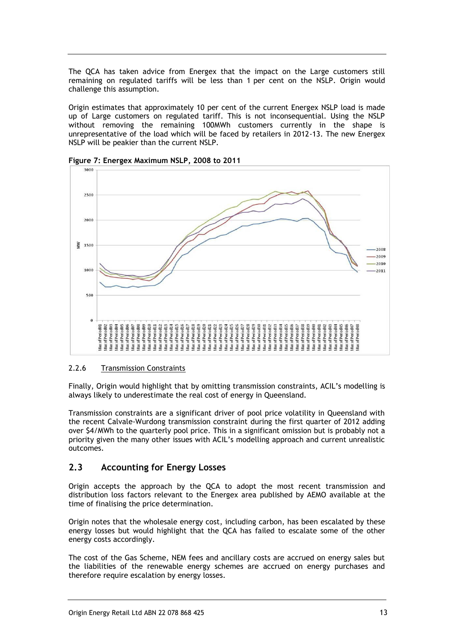The QCA has taken advice from Energex that the impact on the Large customers still remaining on regulated tariffs will be less than 1 per cent on the NSLP. Origin would challenge this assumption.

Origin estimates that approximately 10 per cent of the current Energex NSLP load is made up of Large customers on regulated tariff. This is not inconsequential. Using the NSLP without removing the remaining 100MWh customers currently in the shape is unrepresentative of the load which will be faced by retailers in 2012-13. The new Energex NSLP will be peakier than the current NSLP.



**Figure 7: Energex Maximum NSLP, 2008 to 2011**

### <span id="page-14-0"></span>2.2.6 Transmission Constraints

Finally, Origin would highlight that by omitting transmission constraints, ACIL's modelling is always likely to underestimate the real cost of energy in Queensland.

Transmission constraints are a significant driver of pool price volatility in Queensland with the recent Calvale-Wurdong transmission constraint during the first quarter of 2012 adding over \$4/MWh to the quarterly pool price. This in a significant omission but is probably not a priority given the many other issues with ACIL's modelling approach and current unrealistic outcomes.

## <span id="page-14-1"></span>**2.3 Accounting for Energy Losses**

Origin accepts the approach by the QCA to adopt the most recent transmission and distribution loss factors relevant to the Energex area published by AEMO available at the time of finalising the price determination.

Origin notes that the wholesale energy cost, including carbon, has been escalated by these energy losses but would highlight that the QCA has failed to escalate some of the other energy costs accordingly.

The cost of the Gas Scheme, NEM fees and ancillary costs are accrued on energy sales but the liabilities of the renewable energy schemes are accrued on energy purchases and therefore require escalation by energy losses.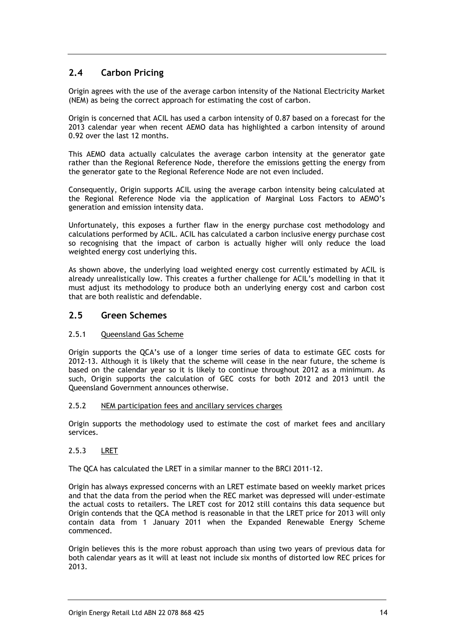## <span id="page-15-0"></span>**2.4 Carbon Pricing**

Origin agrees with the use of the average carbon intensity of the National Electricity Market (NEM) as being the correct approach for estimating the cost of carbon.

Origin is concerned that ACIL has used a carbon intensity of 0.87 based on a forecast for the 2013 calendar year when recent AEMO data has highlighted a carbon intensity of around 0.92 over the last 12 months.

This AEMO data actually calculates the average carbon intensity at the generator gate rather than the Regional Reference Node, therefore the emissions getting the energy from the generator gate to the Regional Reference Node are not even included.

Consequently, Origin supports ACIL using the average carbon intensity being calculated at the Regional Reference Node via the application of Marginal Loss Factors to AEMO's generation and emission intensity data.

Unfortunately, this exposes a further flaw in the energy purchase cost methodology and calculations performed by ACIL. ACIL has calculated a carbon inclusive energy purchase cost so recognising that the impact of carbon is actually higher will only reduce the load weighted energy cost underlying this.

As shown above, the underlying load weighted energy cost currently estimated by ACIL is already unrealistically low. This creates a further challenge for ACIL's modelling in that it must adjust its methodology to produce both an underlying energy cost and carbon cost that are both realistic and defendable.

### <span id="page-15-1"></span>**2.5 Green Schemes**

#### <span id="page-15-2"></span>2.5.1 Queensland Gas Scheme

Origin supports the QCA's use of a longer time series of data to estimate GEC costs for 2012-13. Although it is likely that the scheme will cease in the near future, the scheme is based on the calendar year so it is likely to continue throughout 2012 as a minimum. As such, Origin supports the calculation of GEC costs for both 2012 and 2013 until the Queensland Government announces otherwise.

#### <span id="page-15-3"></span>2.5.2 NEM participation fees and ancillary services charges

Origin supports the methodology used to estimate the cost of market fees and ancillary services.

#### <span id="page-15-4"></span>2.5.3 LRET

The QCA has calculated the LRET in a similar manner to the BRCI 2011-12.

Origin has always expressed concerns with an LRET estimate based on weekly market prices and that the data from the period when the REC market was depressed will under-estimate the actual costs to retailers. The LRET cost for 2012 still contains this data sequence but Origin contends that the QCA method is reasonable in that the LRET price for 2013 will only contain data from 1 January 2011 when the Expanded Renewable Energy Scheme commenced.

Origin believes this is the more robust approach than using two years of previous data for both calendar years as it will at least not include six months of distorted low REC prices for 2013.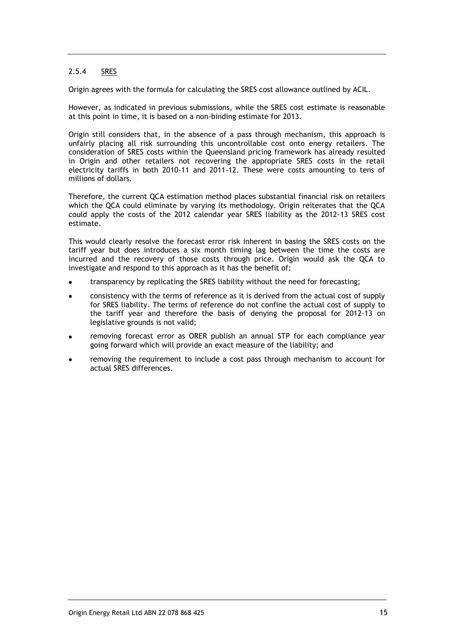#### <span id="page-16-0"></span>2.5.4 SRES

Origin agrees with the formula for calculating the SRES cost allowance outlined by ACIL.

However, as indicated in previous submissions, while the SRES cost estimate is reasonable at this point in time, it is based on a non-binding estimate for 2013.

Origin still considers that, in the absence of a pass through mechanism, this approach is unfairly placing all risk surrounding this uncontrollable cost onto energy retailers. The consideration of SRES costs within the Queensland pricing framework has already resulted in Origin and other retailers not recovering the appropriate SRES costs in the retail electricity tariffs in both 2010-11 and 2011-12. These were costs amounting to tens of millions of dollars.

Therefore, the current QCA estimation method places substantial financial risk on retailers which the QCA could eliminate by varying its methodology. Origin reiterates that the QCA could apply the costs of the 2012 calendar year SRES liability as the 2012-13 SRES cost estimate.

This would clearly resolve the forecast error risk inherent in basing the SRES costs on the tariff year but does introduces a six month timing lag between the time the costs are incurred and the recovery of those costs through price. Origin would ask the QCA to investigate and respond to this approach as it has the benefit of:

- transparency by replicating the SRES liability without the need for forecasting;
- consistency with the terms of reference as it is derived from the actual cost of supply for SRES liability. The terms of reference do not confine the actual cost of supply to the tariff year and therefore the basis of denying the proposal for 2012-13 on legislative grounds is not valid;
- removing forecast error as ORER publish an annual STP for each compliance year going forward which will provide an exact measure of the liability; and
- removing the requirement to include a cost pass through mechanism to account for actual SRES differences.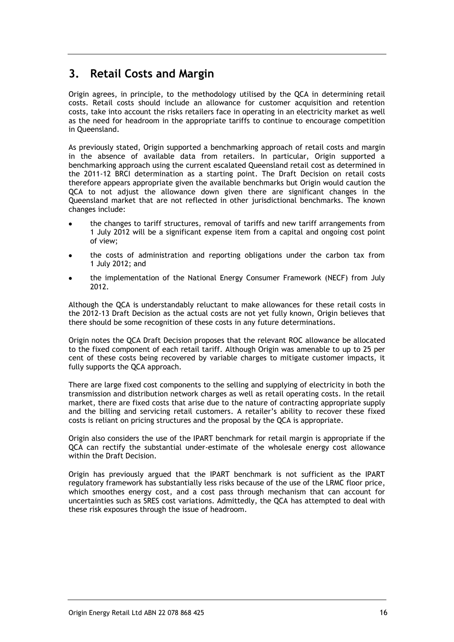## <span id="page-17-0"></span>**3. Retail Costs and Margin**

Origin agrees, in principle, to the methodology utilised by the QCA in determining retail costs. Retail costs should include an allowance for customer acquisition and retention costs, take into account the risks retailers face in operating in an electricity market as well as the need for headroom in the appropriate tariffs to continue to encourage competition in Queensland.

As previously stated, Origin supported a benchmarking approach of retail costs and margin in the absence of available data from retailers. In particular, Origin supported a benchmarking approach using the current escalated Queensland retail cost as determined in the 2011-12 BRCI determination as a starting point. The Draft Decision on retail costs therefore appears appropriate given the available benchmarks but Origin would caution the QCA to not adjust the allowance down given there are significant changes in the Queensland market that are not reflected in other jurisdictional benchmarks. The known changes include:

- the changes to tariff structures, removal of tariffs and new tariff arrangements from 1 July 2012 will be a significant expense item from a capital and ongoing cost point of view;
- the costs of administration and reporting obligations under the carbon tax from 1 July 2012; and
- the implementation of the National Energy Consumer Framework (NECF) from July 2012.

Although the QCA is understandably reluctant to make allowances for these retail costs in the 2012-13 Draft Decision as the actual costs are not yet fully known, Origin believes that there should be some recognition of these costs in any future determinations.

Origin notes the QCA Draft Decision proposes that the relevant ROC allowance be allocated to the fixed component of each retail tariff. Although Origin was amenable to up to 25 per cent of these costs being recovered by variable charges to mitigate customer impacts, it fully supports the QCA approach.

There are large fixed cost components to the selling and supplying of electricity in both the transmission and distribution network charges as well as retail operating costs. In the retail market, there are fixed costs that arise due to the nature of contracting appropriate supply and the billing and servicing retail customers. A retailer's ability to recover these fixed costs is reliant on pricing structures and the proposal by the QCA is appropriate.

Origin also considers the use of the IPART benchmark for retail margin is appropriate if the QCA can rectify the substantial under-estimate of the wholesale energy cost allowance within the Draft Decision.

Origin has previously argued that the IPART benchmark is not sufficient as the IPART regulatory framework has substantially less risks because of the use of the LRMC floor price, which smoothes energy cost, and a cost pass through mechanism that can account for uncertainties such as SRES cost variations. Admittedly, the QCA has attempted to deal with these risk exposures through the issue of headroom.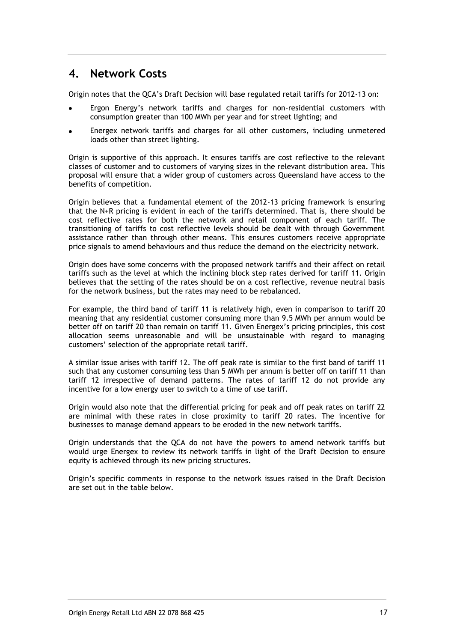## <span id="page-18-0"></span>**4. Network Costs**

Origin notes that the QCA's Draft Decision will base regulated retail tariffs for 2012-13 on:

- Ergon Energy's network tariffs and charges for non-residential customers with consumption greater than 100 MWh per year and for street lighting; and
- Energex network tariffs and charges for all other customers, including unmetered loads other than street lighting.

Origin is supportive of this approach. It ensures tariffs are cost reflective to the relevant classes of customer and to customers of varying sizes in the relevant distribution area. This proposal will ensure that a wider group of customers across Queensland have access to the benefits of competition.

Origin believes that a fundamental element of the 2012-13 pricing framework is ensuring that the N+R pricing is evident in each of the tariffs determined. That is, there should be cost reflective rates for both the network and retail component of each tariff. The transitioning of tariffs to cost reflective levels should be dealt with through Government assistance rather than through other means. This ensures customers receive appropriate price signals to amend behaviours and thus reduce the demand on the electricity network.

Origin does have some concerns with the proposed network tariffs and their affect on retail tariffs such as the level at which the inclining block step rates derived for tariff 11. Origin believes that the setting of the rates should be on a cost reflective, revenue neutral basis for the network business, but the rates may need to be rebalanced.

For example, the third band of tariff 11 is relatively high, even in comparison to tariff 20 meaning that any residential customer consuming more than 9.5 MWh per annum would be better off on tariff 20 than remain on tariff 11. Given Energex's pricing principles, this cost allocation seems unreasonable and will be unsustainable with regard to managing customers' selection of the appropriate retail tariff.

A similar issue arises with tariff 12. The off peak rate is similar to the first band of tariff 11 such that any customer consuming less than 5 MWh per annum is better off on tariff 11 than tariff 12 irrespective of demand patterns. The rates of tariff 12 do not provide any incentive for a low energy user to switch to a time of use tariff.

Origin would also note that the differential pricing for peak and off peak rates on tariff 22 are minimal with these rates in close proximity to tariff 20 rates. The incentive for businesses to manage demand appears to be eroded in the new network tariffs.

Origin understands that the QCA do not have the powers to amend network tariffs but would urge Energex to review its network tariffs in light of the Draft Decision to ensure equity is achieved through its new pricing structures.

Origin's specific comments in response to the network issues raised in the Draft Decision are set out in the table below.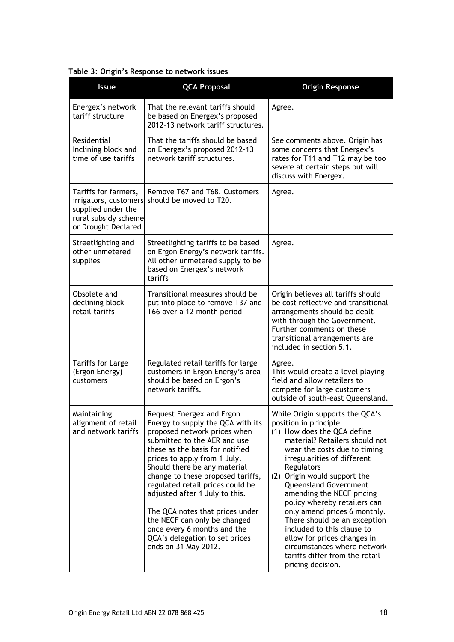| <b>Issue</b>                                                                                                       | <b>QCA Proposal</b>                                                                                                                                                                                                                                                                                                                                                                                                                                                                                      | <b>Origin Response</b>                                                                                                                                                                                                                                                                                                                                                                                                                                                                                                                           |  |
|--------------------------------------------------------------------------------------------------------------------|----------------------------------------------------------------------------------------------------------------------------------------------------------------------------------------------------------------------------------------------------------------------------------------------------------------------------------------------------------------------------------------------------------------------------------------------------------------------------------------------------------|--------------------------------------------------------------------------------------------------------------------------------------------------------------------------------------------------------------------------------------------------------------------------------------------------------------------------------------------------------------------------------------------------------------------------------------------------------------------------------------------------------------------------------------------------|--|
| Energex's network<br>tariff structure                                                                              | That the relevant tariffs should<br>be based on Energex's proposed<br>2012-13 network tariff structures.                                                                                                                                                                                                                                                                                                                                                                                                 | Agree.                                                                                                                                                                                                                                                                                                                                                                                                                                                                                                                                           |  |
| Residential<br>Inclining block and<br>time of use tariffs                                                          | That the tariffs should be based<br>on Energex's proposed 2012-13<br>network tariff structures.                                                                                                                                                                                                                                                                                                                                                                                                          | See comments above. Origin has<br>some concerns that Energex's<br>rates for T11 and T12 may be too<br>severe at certain steps but will<br>discuss with Energex.                                                                                                                                                                                                                                                                                                                                                                                  |  |
| Tariffs for farmers,<br>irrigators, customers<br>supplied under the<br>rural subsidy scheme<br>or Drought Declared | Remove T67 and T68. Customers<br>should be moved to T20.                                                                                                                                                                                                                                                                                                                                                                                                                                                 | Agree.                                                                                                                                                                                                                                                                                                                                                                                                                                                                                                                                           |  |
| Streetlighting and<br>other unmetered<br>supplies                                                                  | Streetlighting tariffs to be based<br>on Ergon Energy's network tariffs.<br>All other unmetered supply to be<br>based on Energex's network<br>tariffs                                                                                                                                                                                                                                                                                                                                                    | Agree.                                                                                                                                                                                                                                                                                                                                                                                                                                                                                                                                           |  |
| Obsolete and<br>declining block<br>retail tariffs                                                                  | Transitional measures should be<br>put into place to remove T37 and<br>T66 over a 12 month period                                                                                                                                                                                                                                                                                                                                                                                                        | Origin believes all tariffs should<br>be cost reflective and transitional<br>arrangements should be dealt<br>with through the Government.<br>Further comments on these<br>transitional arrangements are<br>included in section 5.1.                                                                                                                                                                                                                                                                                                              |  |
| <b>Tariffs for Large</b><br>(Ergon Energy)<br>customers                                                            | Regulated retail tariffs for large<br>customers in Ergon Energy's area<br>should be based on Ergon's<br>network tariffs.                                                                                                                                                                                                                                                                                                                                                                                 | Agree.<br>This would create a level playing<br>field and allow retailers to<br>compete for large customers<br>outside of south-east Queensland.                                                                                                                                                                                                                                                                                                                                                                                                  |  |
| Maintaining<br>alignment of retail<br>and network tariffs                                                          | Request Energex and Ergon<br>Energy to supply the QCA with its<br>proposed network prices when<br>submitted to the AER and use<br>these as the basis for notified<br>prices to apply from 1 July.<br>Should there be any material<br>change to these proposed tariffs,<br>regulated retail prices could be<br>adjusted after 1 July to this.<br>The QCA notes that prices under<br>the NECF can only be changed<br>once every 6 months and the<br>QCA's delegation to set prices<br>ends on 31 May 2012. | While Origin supports the QCA's<br>position in principle:<br>(1) How does the QCA define<br>material? Retailers should not<br>wear the costs due to timing<br>irregularities of different<br>Regulators<br>(2) Origin would support the<br>Queensland Government<br>amending the NECF pricing<br>policy whereby retailers can<br>only amend prices 6 monthly.<br>There should be an exception<br>included to this clause to<br>allow for prices changes in<br>circumstances where network<br>tariffs differ from the retail<br>pricing decision. |  |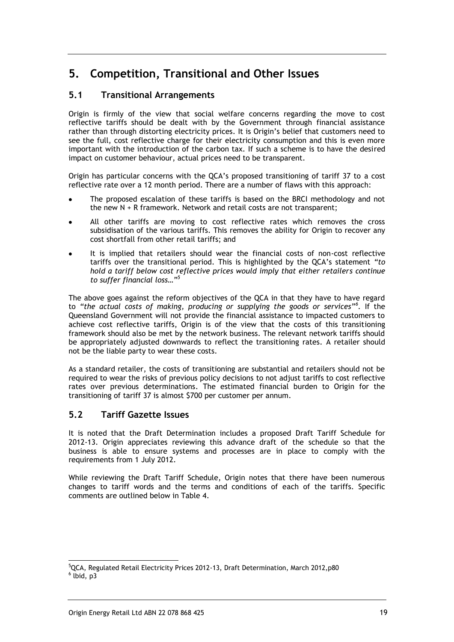## <span id="page-20-0"></span>**5. Competition, Transitional and Other Issues**

## <span id="page-20-1"></span>**5.1 Transitional Arrangements**

Origin is firmly of the view that social welfare concerns regarding the move to cost reflective tariffs should be dealt with by the Government through financial assistance rather than through distorting electricity prices. It is Origin's belief that customers need to see the full, cost reflective charge for their electricity consumption and this is even more important with the introduction of the carbon tax. If such a scheme is to have the desired impact on customer behaviour, actual prices need to be transparent.

Origin has particular concerns with the QCA's proposed transitioning of tariff 37 to a cost reflective rate over a 12 month period. There are a number of flaws with this approach:

- The proposed escalation of these tariffs is based on the BRCI methodology and not the new N + R framework. Network and retail costs are not transparent;
- All other tariffs are moving to cost reflective rates which removes the cross subsidisation of the various tariffs. This removes the ability for Origin to recover any cost shortfall from other retail tariffs; and
- It is implied that retailers should wear the financial costs of non-cost reflective tariffs over the transitional period. This is highlighted by the QCA's statement *"to hold a tariff below cost reflective prices would imply that either retailers continue to suffer financial loss…"<sup>5</sup>*

The above goes against the reform objectives of the QCA in that they have to have regard to *"the actual costs of making, producing or supplying the goods or services"<sup>6</sup> .* If the Queensland Government will not provide the financial assistance to impacted customers to achieve cost reflective tariffs, Origin is of the view that the costs of this transitioning framework should also be met by the network business. The relevant network tariffs should be appropriately adjusted downwards to reflect the transitioning rates. A retailer should not be the liable party to wear these costs.

As a standard retailer, the costs of transitioning are substantial and retailers should not be required to wear the risks of previous policy decisions to not adjust tariffs to cost reflective rates over previous determinations. The estimated financial burden to Origin for the transitioning of tariff 37 is almost \$700 per customer per annum.

## <span id="page-20-2"></span>**5.2 Tariff Gazette Issues**

It is noted that the Draft Determination includes a proposed Draft Tariff Schedule for 2012-13. Origin appreciates reviewing this advance draft of the schedule so that the business is able to ensure systems and processes are in place to comply with the requirements from 1 July 2012.

While reviewing the Draft Tariff Schedule, Origin notes that there have been numerous changes to tariff words and the terms and conditions of each of the tariffs. Specific comments are outlined below in Table 4.

<sup>-</sup><sup>5</sup>QCA, Regulated Retail Electricity Prices 2012-13, Draft Determination, March 2012,p80  $<sup>6</sup>$  lbid, p3</sup>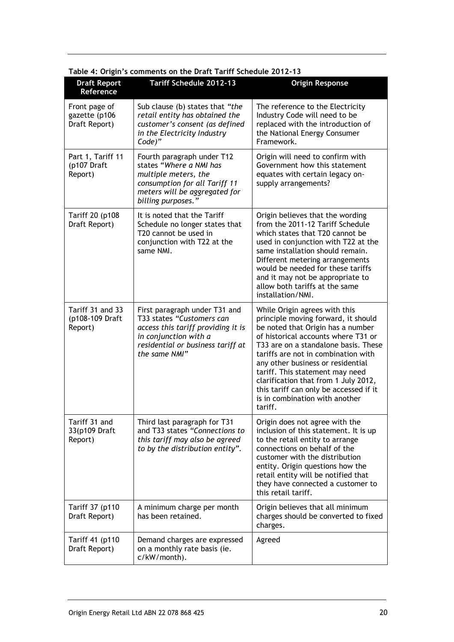| <b>Draft Report</b><br>Reference                | Tariff Schedule 2012-13                                                                                                                                                         | <b>Origin Response</b>                                                                                                                                                                                                                                                                                                                                                                                                                 |
|-------------------------------------------------|---------------------------------------------------------------------------------------------------------------------------------------------------------------------------------|----------------------------------------------------------------------------------------------------------------------------------------------------------------------------------------------------------------------------------------------------------------------------------------------------------------------------------------------------------------------------------------------------------------------------------------|
| Front page of<br>gazette (p106<br>Draft Report) | Sub clause (b) states that "the<br>retail entity has obtained the<br>customer's consent (as defined<br>in the Electricity Industry<br>Code)"                                    | The reference to the Electricity<br>Industry Code will need to be<br>replaced with the introduction of<br>the National Energy Consumer<br>Framework.                                                                                                                                                                                                                                                                                   |
| Part 1, Tariff 11<br>(p107 Draft<br>Report)     | Fourth paragraph under T12<br>states "Where a NMI has<br>multiple meters, the<br>consumption for all Tariff 11<br>meters will be aggregated for<br>billing purposes."           | Origin will need to confirm with<br>Government how this statement<br>equates with certain legacy on-<br>supply arrangements?                                                                                                                                                                                                                                                                                                           |
| Tariff 20 (p108<br>Draft Report)                | It is noted that the Tariff<br>Schedule no longer states that<br>T20 cannot be used in<br>conjunction with T22 at the<br>same NMI.                                              | Origin believes that the wording<br>from the 2011-12 Tariff Schedule<br>which states that T20 cannot be<br>used in conjunction with T22 at the<br>same installation should remain.<br>Different metering arrangements<br>would be needed for these tariffs<br>and it may not be appropriate to<br>allow both tariffs at the same<br>installation/NMI.                                                                                  |
| Tariff 31 and 33<br>(p108-109 Draft<br>Report)  | First paragraph under T31 and<br>T33 states "Customers can<br>access this tariff providing it is<br>in conjunction with a<br>residential or business tariff at<br>the same NMI" | While Origin agrees with this<br>principle moving forward, it should<br>be noted that Origin has a number<br>of historical accounts where T31 or<br>T33 are on a standalone basis. These<br>tariffs are not in combination with<br>any other business or residential<br>tariff. This statement may need<br>clarification that from 1 July 2012,<br>this tariff can only be accessed if it<br>is in combination with another<br>tariff. |
| Tariff 31 and<br>33(p109 Draft<br>Report)       | Third last paragraph for T31<br>and T33 states "Connections to<br>this tariff may also be agreed<br>to by the distribution entity".                                             | Origin does not agree with the<br>inclusion of this statement. It is up<br>to the retail entity to arrange<br>connections on behalf of the<br>customer with the distribution<br>entity. Origin questions how the<br>retail entity will be notified that<br>they have connected a customer to<br>this retail tariff.                                                                                                                    |
| Tariff 37 (p110<br>Draft Report)                | A minimum charge per month<br>has been retained.                                                                                                                                | Origin believes that all minimum<br>charges should be converted to fixed<br>charges.                                                                                                                                                                                                                                                                                                                                                   |
| Tariff 41 (p110<br>Draft Report)                | Demand charges are expressed<br>on a monthly rate basis (ie.<br>c/kW/month).                                                                                                    | Agreed                                                                                                                                                                                                                                                                                                                                                                                                                                 |

**Table 4: Origin's comments on the Draft Tariff Schedule 2012-13**